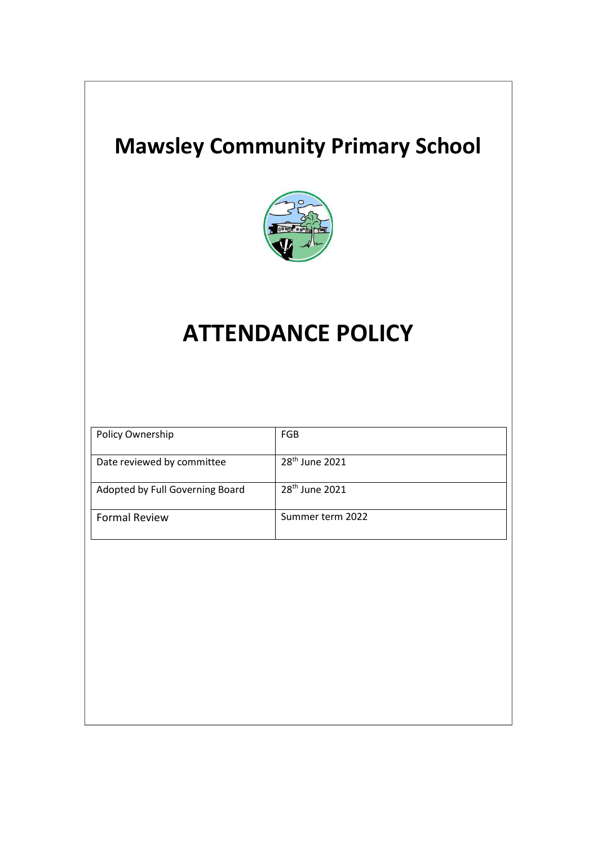## **Mawsley Community Primary School**



# **ATTENDANCE POLICY**

| Policy Ownership                | FGB                        |
|---------------------------------|----------------------------|
| Date reviewed by committee      | 28 <sup>th</sup> June 2021 |
| Adopted by Full Governing Board | 28 <sup>th</sup> June 2021 |
| <b>Formal Review</b>            | Summer term 2022           |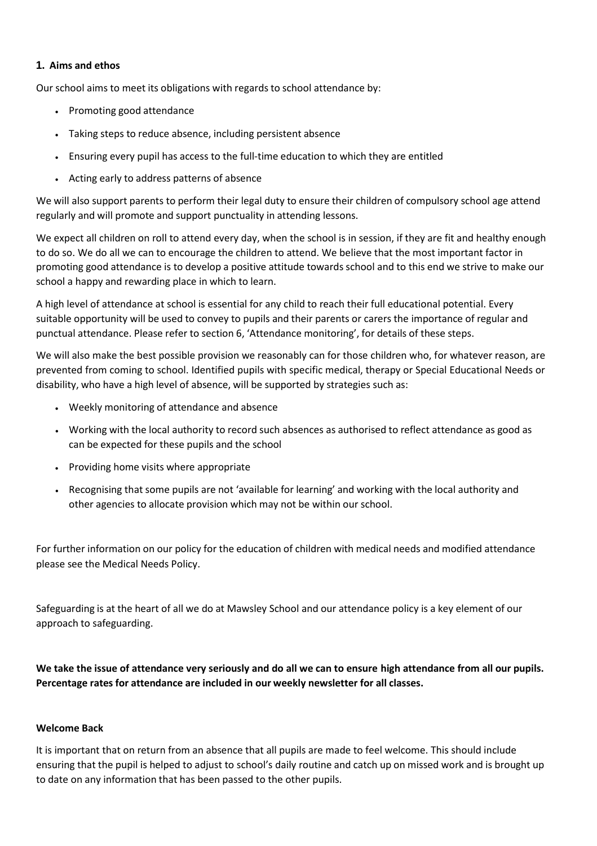#### **1. Aims and ethos**

Our school aims to meet its obligations with regards to school attendance by:

- Promoting good attendance
- Taking steps to reduce absence, including persistent absence
- Ensuring every pupil has access to the full-time education to which they are entitled
- Acting early to address patterns of absence

We will also support parents to perform their legal duty to ensure their children of compulsory school age attend regularly and will promote and support punctuality in attending lessons.

We expect all children on roll to attend every day, when the school is in session, if they are fit and healthy enough to do so. We do all we can to encourage the children to attend. We believe that the most important factor in promoting good attendance is to develop a positive attitude towards school and to this end we strive to make our school a happy and rewarding place in which to learn.

A high level of attendance at school is essential for any child to reach their full educational potential. Every suitable opportunity will be used to convey to pupils and their parents or carers the importance of regular and punctual attendance. Please refer to section 6, 'Attendance monitoring', for details of these steps.

We will also make the best possible provision we reasonably can for those children who, for whatever reason, are prevented from coming to school. Identified pupils with specific medical, therapy or Special Educational Needs or disability, who have a high level of absence, will be supported by strategies such as:

- Weekly monitoring of attendance and absence
- Working with the local authority to record such absences as authorised to reflect attendance as good as can be expected for these pupils and the school
- Providing home visits where appropriate
- Recognising that some pupils are not 'available for learning' and working with the local authority and other agencies to allocate provision which may not be within our school.

For further information on our policy for the education of children with medical needs and modified attendance please see the Medical Needs Policy.

Safeguarding is at the heart of all we do at Mawsley School and our attendance policy is a key element of our approach to safeguarding.

We take the issue of attendance very seriously and do all we can to ensure high attendance from all our pupils. **Percentage rates for attendance are included in our weekly newsletter for all classes.**

#### **Welcome Back**

It is important that on return from an absence that all pupils are made to feel welcome. This should include ensuring that the pupil is helped to adjust to school's daily routine and catch up on missed work and is brought up to date on any information that has been passed to the other pupils.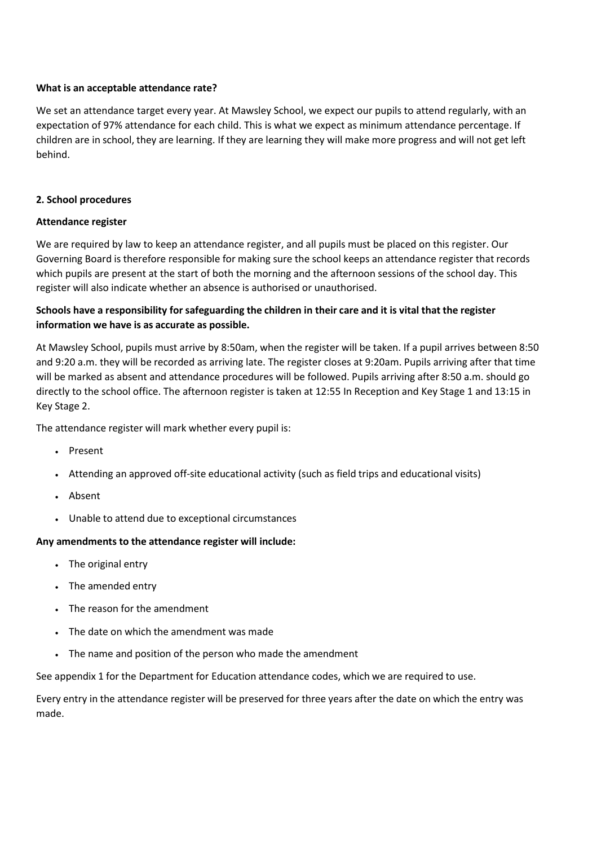#### **What is an acceptable attendance rate?**

We set an attendance target every year. At Mawsley School, we expect our pupils to attend regularly, with an expectation of 97% attendance for each child. This is what we expect as minimum attendance percentage. If children are in school, they are learning. If they are learning they will make more progress and will not get left behind.

#### **2. School procedures**

#### **Attendance register**

We are required by law to keep an attendance register, and all pupils must be placed on this register. Our Governing Board is therefore responsible for making sure the school keeps an attendance register that records which pupils are present at the start of both the morning and the afternoon sessions of the school day. This register will also indicate whether an absence is authorised or unauthorised.

### Schools have a responsibility for safeguarding the children in their care and it is vital that the register **information we have is as accurate as possible.**

At Mawsley School, pupils must arrive by 8:50am, when the register will be taken. If a pupil arrives between 8:50 and 9:20 a.m. they will be recorded as arriving late. The register closes at 9:20am. Pupils arriving after that time will be marked as absent and attendance procedures will be followed. Pupils arriving after 8:50 a.m. should go directly to the school office. The afternoon register is taken at 12:55 In Reception and Key Stage 1 and 13:15 in Key Stage 2.

The attendance register will mark whether every pupil is:

- Present
- Attending an approved off-site educational activity (such as field trips and educational visits)
- Absent
- Unable to attend due to exceptional circumstances

#### **Any amendments to the attendance register will include:**

- The original entry
- The amended entry
- The reason for the amendment
- The date on which the amendment was made
- The name and position of the person who made the amendment

See appendix 1 for the Department for Education attendance codes, which we are required to use.

Every entry in the attendance register will be preserved for three years after the date on which the entry was made.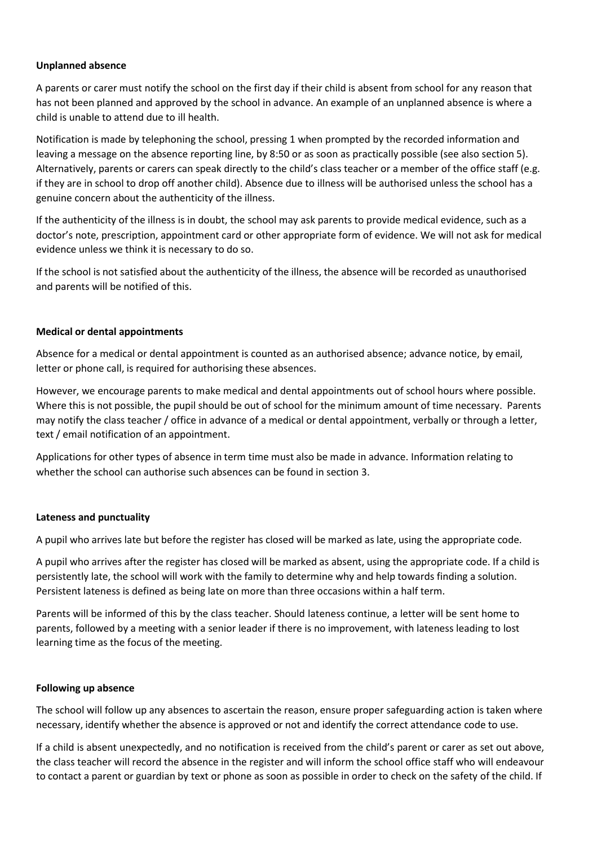#### **Unplanned absence**

A parents or carer must notify the school on the first day if their child is absent from school for any reason that has not been planned and approved by the school in advance. An example of an unplanned absence is where a child is unable to attend due to ill health.

Notification is made by telephoning the school, pressing 1 when prompted by the recorded information and leaving a message on the absence reporting line, by 8:50 or as soon as practically possible (see also section 5). Alternatively, parents or carers can speak directly to the child's class teacher or a member of the office staff (e.g. if they are in school to drop off another child). Absence due to illness will be authorised unless the school has a genuine concern about the authenticity of the illness.

If the authenticity of the illness is in doubt, the school may ask parents to provide medical evidence, such as a doctor's note, prescription, appointment card or other appropriate form of evidence. We will not ask for medical evidence unless we think it is necessary to do so.

If the school is not satisfied about the authenticity of the illness, the absence will be recorded as unauthorised and parents will be notified of this.

#### **Medical or dental appointments**

Absence for a medical or dental appointment is counted as an authorised absence; advance notice, by email, letter or phone call, is required for authorising these absences.

However, we encourage parents to make medical and dental appointments out of school hours where possible. Where this is not possible, the pupil should be out of school for the minimum amount of time necessary. Parents may notify the class teacher / office in advance of a medical or dental appointment, verbally or through a letter, text / email notification of an appointment.

Applications for other types of absence in term time must also be made in advance. Information relating to whether the school can authorise such absences can be found in section 3.

#### **Lateness and punctuality**

A pupil who arrives late but before the register has closed will be marked as late, using the appropriate code.

A pupil who arrives after the register has closed will be marked as absent, using the appropriate code. If a child is persistently late, the school will work with the family to determine why and help towards finding a solution. Persistent lateness is defined as being late on more than three occasions within a half term.

Parents will be informed of this by the class teacher. Should lateness continue, a letter will be sent home to parents, followed by a meeting with a senior leader if there is no improvement, with lateness leading to lost learning time as the focus of the meeting.

#### **Following up absence**

The school will follow up any absences to ascertain the reason, ensure proper safeguarding action is taken where necessary, identify whether the absence is approved or not and identify the correct attendance code to use.

If a child is absent unexpectedly, and no notification is received from the child's parent or carer as set out above, the class teacher will record the absence in the register and will inform the school office staff who will endeavour to contact a parent or guardian by text or phone as soon as possible in order to check on the safety of the child. If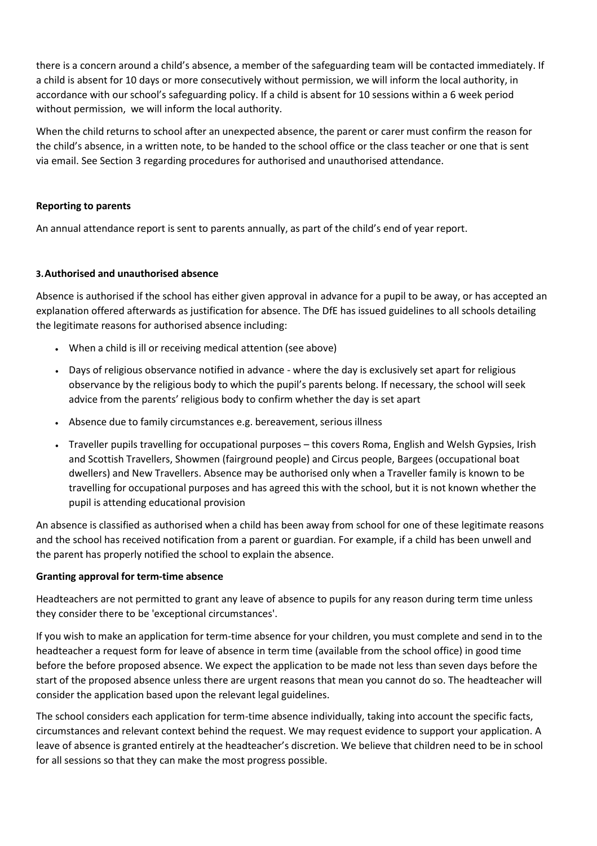there is a concern around a child's absence, a member of the safeguarding team will be contacted immediately. If a child is absent for 10 days or more consecutively without permission, we will inform the local authority, in accordance with our school's safeguarding policy. If a child is absent for 10 sessions within a 6 week period without permission, we will inform the local authority.

When the child returns to school after an unexpected absence, the parent or carer must confirm the reason for the child's absence, in a written note, to be handed to the school office or the class teacher or one that is sent via email. See Section 3 regarding procedures for authorised and unauthorised attendance.

#### **Reporting to parents**

An annual attendance report is sent to parents annually, as part of the child's end of year report.

#### **3.Authorised and unauthorised absence**

Absence is authorised if the school has either given approval in advance for a pupil to be away, or has accepted an explanation offered afterwards as justification for absence. The DfE has issued guidelines to all schools detailing the legitimate reasons for authorised absence including:

- When a child is ill or receiving medical attention (see above)
- Days of religious observance notified in advance where the day is exclusively set apart for religious observance by the religious body to which the pupil's parents belong. If necessary, the school will seek advice from the parents' religious body to confirm whether the day is set apart
- Absence due to family circumstances e.g. bereavement, serious illness
- Traveller pupils travelling for occupational purposes this covers Roma, English and Welsh Gypsies, Irish and Scottish Travellers, Showmen (fairground people) and Circus people, Bargees (occupational boat dwellers) and New Travellers. Absence may be authorised only when a Traveller family is known to be travelling for occupational purposes and has agreed this with the school, but it is not known whether the pupil is attending educational provision

An absence is classified as authorised when a child has been away from school for one of these legitimate reasons and the school has received notification from a parent or guardian. For example, if a child has been unwell and the parent has properly notified the school to explain the absence.

#### **Granting approval for term-time absence**

Headteachers are not permitted to grant any leave of absence to pupils for any reason during term time unless they consider there to be 'exceptional circumstances'.

If you wish to make an application for term-time absence for your children, you must complete and send in to the headteacher a request form for leave of absence in term time (available from the school office) in good time before the before proposed absence. We expect the application to be made not less than seven days before the start of the proposed absence unless there are urgent reasons that mean you cannot do so. The headteacher will consider the application based upon the relevant legal guidelines.

The school considers each application for term-time absence individually, taking into account the specific facts, circumstances and relevant context behind the request. We may request evidence to support your application. A leave of absence is granted entirely at the headteacher's discretion. We believe that children need to be in school for all sessions so that they can make the most progress possible.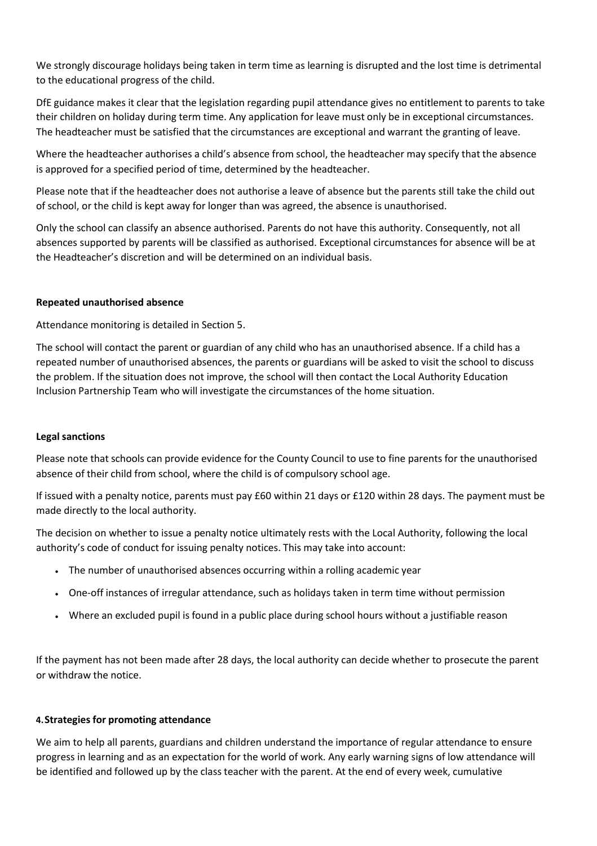We strongly discourage holidays being taken in term time as learning is disrupted and the lost time is detrimental to the educational progress of the child.

DfE guidance makes it clear that the legislation regarding pupil attendance gives no entitlement to parents to take their children on holiday during term time. Any application for leave must only be in exceptional circumstances. The headteacher must be satisfied that the circumstances are exceptional and warrant the granting of leave.

Where the headteacher authorises a child's absence from school, the headteacher may specify that the absence is approved for a specified period of time, determined by the headteacher.

Please note that if the headteacher does not authorise a leave of absence but the parents still take the child out of school, or the child is kept away for longer than was agreed, the absence is unauthorised.

Only the school can classify an absence authorised. Parents do not have this authority. Consequently, not all absences supported by parents will be classified as authorised. Exceptional circumstances for absence will be at the Headteacher's discretion and will be determined on an individual basis.

#### **Repeated unauthorised absence**

Attendance monitoring is detailed in Section 5.

The school will contact the parent or guardian of any child who has an unauthorised absence. If a child has a repeated number of unauthorised absences, the parents or guardians will be asked to visit the school to discuss the problem. If the situation does not improve, the school will then contact the Local Authority Education Inclusion Partnership Team who will investigate the circumstances of the home situation.

#### **Legal sanctions**

Please note that schools can provide evidence for the County Council to use to fine parents for the unauthorised absence of their child from school, where the child is of compulsory school age.

If issued with a penalty notice, parents must pay £60 within 21 days or £120 within 28 days. The payment must be made directly to the local authority.

The decision on whether to issue a penalty notice ultimately rests with the Local Authority, following the local authority's code of conduct for issuing penalty notices. This may take into account:

- The number of unauthorised absences occurring within a rolling academic year
- One-off instances of irregular attendance, such as holidays taken in term time without permission
- Where an excluded pupil is found in a public place during school hours without a justifiable reason

If the payment has not been made after 28 days, the local authority can decide whether to prosecute the parent or withdraw the notice.

#### **4.Strategies for promoting attendance**

We aim to help all parents, guardians and children understand the importance of regular attendance to ensure progress in learning and as an expectation for the world of work. Any early warning signs of low attendance will be identified and followed up by the class teacher with the parent. At the end of every week, cumulative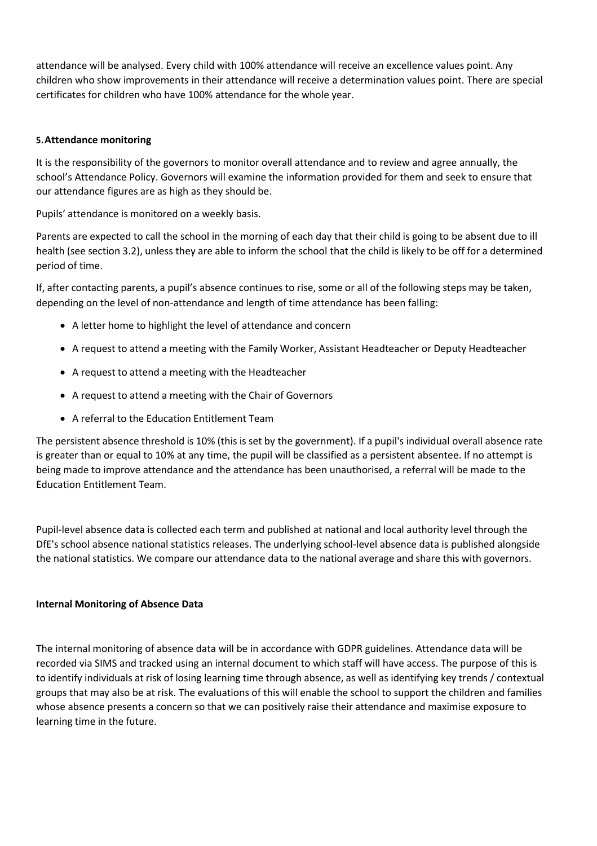attendance will be analysed. Every child with 100% attendance will receive an excellence values point. Any children who show improvements in their attendance will receive a determination values point. There are special certificates for children who have 100% attendance for the whole year.

#### **5.Attendance monitoring**

It is the responsibility of the governors to monitor overall attendance and to review and agree annually, the school's Attendance Policy. Governors will examine the information provided for them and seek to ensure that our attendance figures are as high as they should be.

Pupils' attendance is monitored on a weekly basis.

Parents are expected to call the school in the morning of each day that their child is going to be absent due to ill health (see section 3.2), unless they are able to inform the school that the child is likely to be off for a determined period of time.

If, after contacting parents, a pupil's absence continues to rise, some or all of the following steps may be taken, depending on the level of non-attendance and length of time attendance has been falling:

- A letter home to highlight the level of attendance and concern
- A request to attend a meeting with the Family Worker, Assistant Headteacher or Deputy Headteacher
- A request to attend a meeting with the Headteacher
- A request to attend a meeting with the Chair of Governors
- A referral to the Education Entitlement Team

The persistent absence threshold is 10% (this is set by the government). If a pupil's individual overall absence rate is greater than or equal to 10% at any time, the pupil will be classified as a persistent absentee. If no attempt is being made to improve attendance and the attendance has been unauthorised, a referral will be made to the Education Entitlement Team.

Pupil-level absence data is collected each term and published at national and local authority level through the DfE's school absence national statistics releases. The underlying school-level absence data is published alongside the national statistics. We compare our attendance data to the national average and share this with governors.

#### **Internal Monitoring of Absence Data**

The internal monitoring of absence data will be in accordance with GDPR guidelines. Attendance data will be recorded via SIMS and tracked using an internal document to which staff will have access. The purpose of this is to identify individuals at risk of losing learning time through absence, as well as identifying key trends / contextual groups that may also be at risk. The evaluations of this will enable the school to support the children and families whose absence presents a concern so that we can positively raise their attendance and maximise exposure to learning time in the future.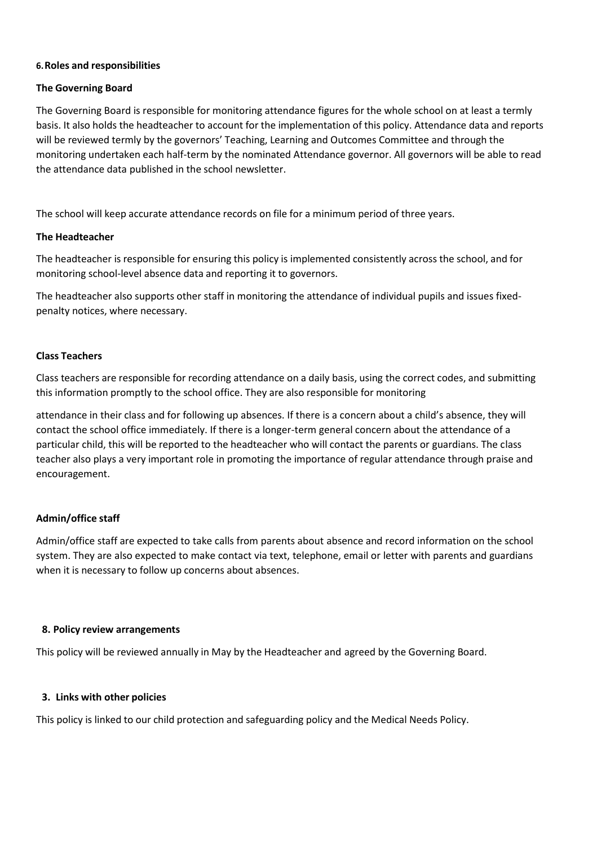#### **6.Roles and responsibilities**

#### **The Governing Board**

The Governing Board is responsible for monitoring attendance figures for the whole school on at least a termly basis. It also holds the headteacher to account for the implementation of this policy. Attendance data and reports will be reviewed termly by the governors' Teaching, Learning and Outcomes Committee and through the monitoring undertaken each half-term by the nominated Attendance governor. All governors will be able to read the attendance data published in the school newsletter.

The school will keep accurate attendance records on file for a minimum period of three years.

#### **The Headteacher**

The headteacher is responsible for ensuring this policy is implemented consistently across the school, and for monitoring school-level absence data and reporting it to governors.

The headteacher also supports other staff in monitoring the attendance of individual pupils and issues fixedpenalty notices, where necessary.

#### **Class Teachers**

Class teachers are responsible for recording attendance on a daily basis, using the correct codes, and submitting this information promptly to the school office. They are also responsible for monitoring

attendance in their class and for following up absences. If there is a concern about a child's absence, they will contact the school office immediately. If there is a longer-term general concern about the attendance of a particular child, this will be reported to the headteacher who will contact the parents or guardians. The class teacher also plays a very important role in promoting the importance of regular attendance through praise and encouragement.

#### **Admin/office staff**

Admin/office staff are expected to take calls from parents about absence and record information on the school system. They are also expected to make contact via text, telephone, email or letter with parents and guardians when it is necessary to follow up concerns about absences.

#### **8. Policy review arrangements**

This policy will be reviewed annually in May by the Headteacher and agreed by the Governing Board.

#### **3. Links with other policies**

This policy is linked to our child protection and safeguarding policy and the Medical Needs Policy.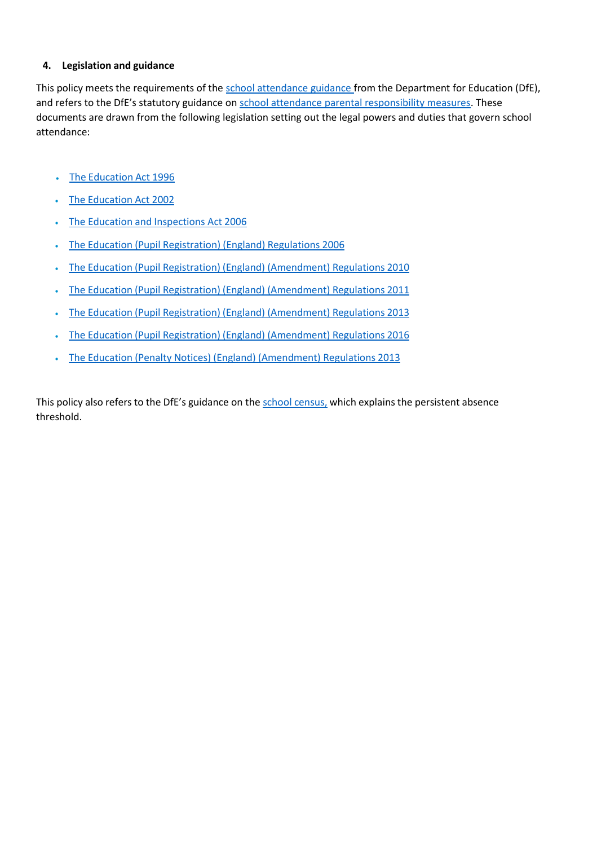#### **4. Legislation and guidance**

This policy meets the requirements of the [school attendance guidance f](https://www.gov.uk/government/publications/school-attendance)rom the Department for Education (DfE), and refers to the DfE's statutory guidance on [school attendance parental responsibility measures.](https://www.gov.uk/government/publications/parental-responsibility-measures-for-behaviour-and-attendance) These documents are drawn from the following legislation setting out the legal powers and duties that govern school attendance:

- The [Education](https://www.legislation.gov.uk/ukpga/1996/56/part/VI/chapter/II) Act 1996
- The [Education](http://www.legislation.gov.uk/ukpga/2002/32/part/3/chapter/3) Act 2002
- The Education and [Inspections](http://www.legislation.gov.uk/ukpga/2006/40/part/7/chapter/2/crossheading/school-attendance) Act 2006
- The Education (Pupil [Registration\)](http://www.legislation.gov.uk/uksi/2006/1751/contents/made) (England) Regulations 2006
- The Education (Pupil Registration) (England) [\(Amendment\)](http://www.centralbedfordshire.gov.uk/Images/amendment-regulation-2010_tcm3-8642.pdf) Regulations 2010
- The Education (Pupil Registration) (England) [\(Amendment\)](http://www.legislation.gov.uk/uksi/2011/1625/made) Regulations 2011
- The Education (Pupil Registration) (England) [\(Amendment\)](http://www.legislation.gov.uk/uksi/2013/756/made) Regulations 2013
- The Education (Pupil Registration) (England) [\(Amendment\)](http://legislation.data.gov.uk/uksi/2016/792/made/data.html) Regulations 2016
- The Education (Penalty Notices) (England) [\(Amendment\)](http://www.legislation.gov.uk/uksi/2013/756/pdfs/uksiem_20130756_en.pdf) Regulations 2013

This policy also refers to the DfE's guidance on the school [census,](https://www.gov.uk/government/publications/school-census-2017-to-2018-guide-for-schools-and-las) which explains the persistent absence threshold.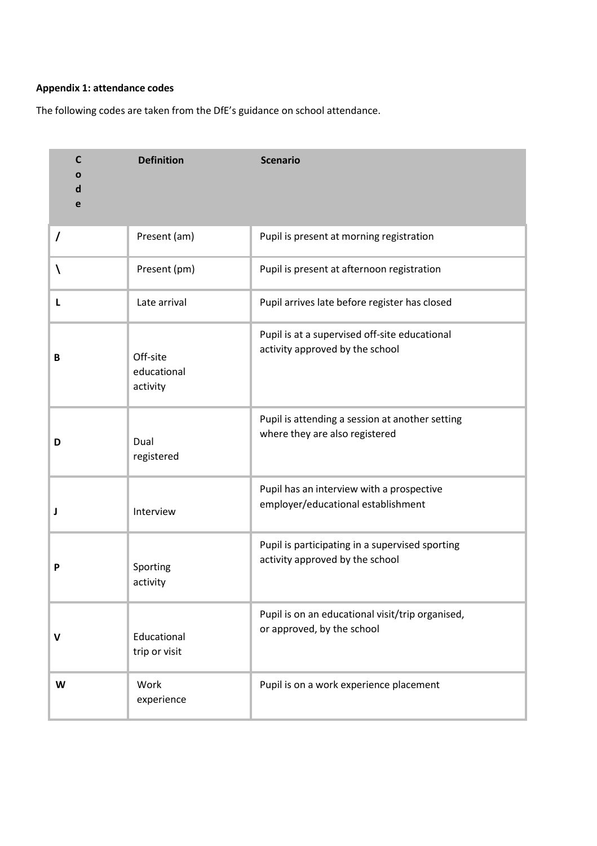## **Appendix 1: attendance codes**

The following codes are taken from the DfE's guidance on school attendance.

| $\mathsf{C}$<br>Ο<br>d<br>e | <b>Definition</b>                   | <b>Scenario</b>                                                                    |
|-----------------------------|-------------------------------------|------------------------------------------------------------------------------------|
| $\prime$                    | Present (am)                        | Pupil is present at morning registration                                           |
| ∖                           | Present (pm)                        | Pupil is present at afternoon registration                                         |
| L                           | Late arrival                        | Pupil arrives late before register has closed                                      |
| B                           | Off-site<br>educational<br>activity | Pupil is at a supervised off-site educational<br>activity approved by the school   |
| D                           | Dual<br>registered                  | Pupil is attending a session at another setting<br>where they are also registered  |
| J                           | Interview                           | Pupil has an interview with a prospective<br>employer/educational establishment    |
| P                           | Sporting<br>activity                | Pupil is participating in a supervised sporting<br>activity approved by the school |
| V                           | Educational<br>trip or visit        | Pupil is on an educational visit/trip organised,<br>or approved, by the school     |
| W                           | Work<br>experience                  | Pupil is on a work experience placement                                            |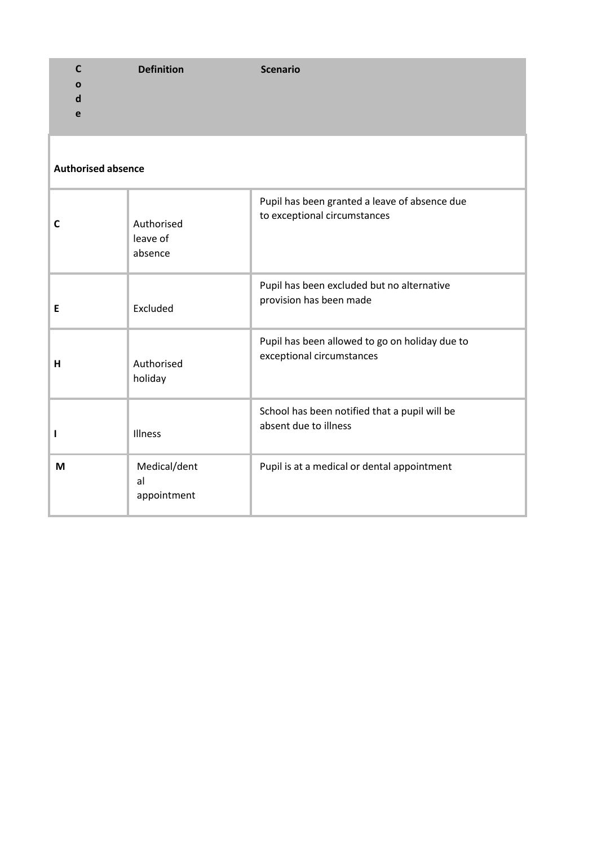| C<br>Ο<br>d<br>e          | <b>Definition</b>                 | <b>Scenario</b>                                                               |  |  |
|---------------------------|-----------------------------------|-------------------------------------------------------------------------------|--|--|
| <b>Authorised absence</b> |                                   |                                                                               |  |  |
| C                         | Authorised<br>leave of<br>absence | Pupil has been granted a leave of absence due<br>to exceptional circumstances |  |  |
| E                         | Excluded                          | Pupil has been excluded but no alternative<br>provision has been made         |  |  |
| н                         | Authorised<br>holiday             | Pupil has been allowed to go on holiday due to<br>exceptional circumstances   |  |  |
|                           | Illness                           | School has been notified that a pupil will be<br>absent due to illness        |  |  |
| M                         | Medical/dent<br>al<br>appointment | Pupil is at a medical or dental appointment                                   |  |  |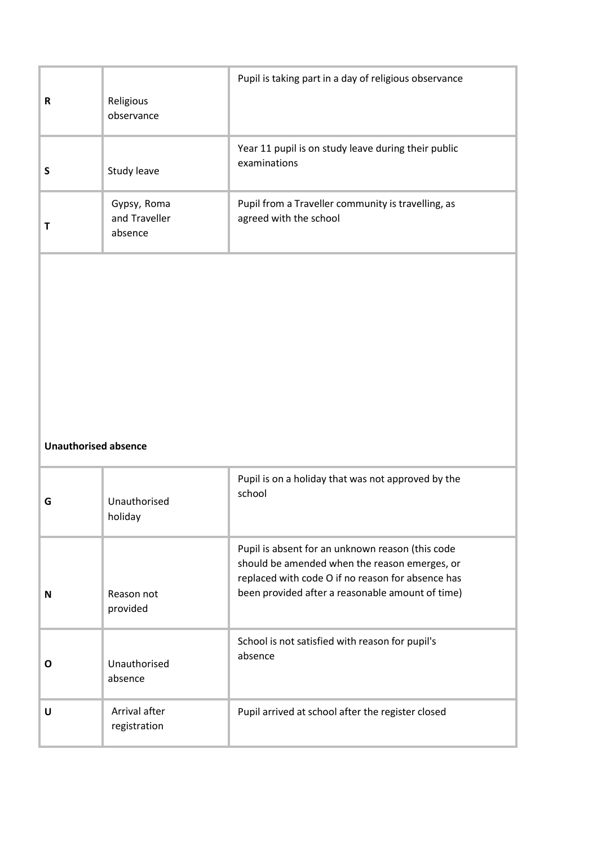|   |                                         | Pupil is taking part in a day of religious observance                                                                                                                                                      |
|---|-----------------------------------------|------------------------------------------------------------------------------------------------------------------------------------------------------------------------------------------------------------|
| R | Religious<br>observance                 |                                                                                                                                                                                                            |
| S | Study leave                             | Year 11 pupil is on study leave during their public<br>examinations                                                                                                                                        |
| Т | Gypsy, Roma<br>and Traveller<br>absence | Pupil from a Traveller community is travelling, as<br>agreed with the school                                                                                                                               |
|   |                                         |                                                                                                                                                                                                            |
|   |                                         |                                                                                                                                                                                                            |
|   |                                         |                                                                                                                                                                                                            |
|   | <b>Unauthorised absence</b>             |                                                                                                                                                                                                            |
| G | Unauthorised<br>holiday                 | Pupil is on a holiday that was not approved by the<br>school                                                                                                                                               |
| N | Reason not                              | Pupil is absent for an unknown reason (this code<br>should be amended when the reason emerges, or<br>replaced with code O if no reason for absence has<br>been provided after a reasonable amount of time) |
|   | provided                                |                                                                                                                                                                                                            |
| O | Unauthorised<br>absence                 | School is not satisfied with reason for pupil's<br>absence                                                                                                                                                 |